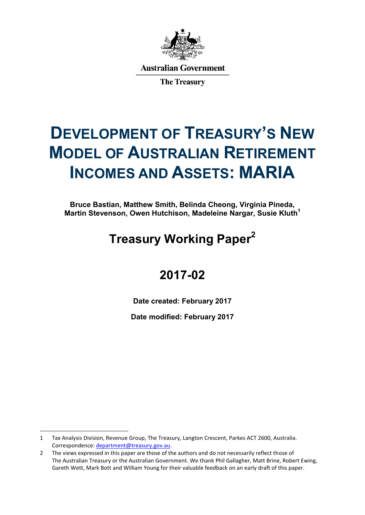

**Australian Government** 

**The Treasury** 

# **DEVELOPMENT OF TREASURY'S NEW MODEL OF AUSTRALIAN RETIREMENT INCOMES AND ASSETS: MARIA**

**Bruce Bastian, Matthew Smith, Belinda Cheong, Virginia Pineda, Martin Stevenson, Owen Hutchison, Madeleine Nargar, Susie Kluth<sup>1</sup>**

# **Treasury Working Paper<sup>2</sup>**

# **2017-02**

**Date created: February 2017**

**Date modified: February 2017**

 $\ddot{\phantom{a}}$ 

<sup>1</sup> Tax Analysis Division, Revenue Group, The Treasury, Langton Crescent, Parkes ACT 2600, Australia. Correspondence: [department@treasury.gov.au.](mailto:department@treasury.gov.au)

<sup>2</sup> The views expressed in this paper are those of the authors and do not necessarily reflect those of The Australian Treasury or the Australian Government. We thank Phil Gallagher, Matt Brine, Robert Ewing, Gareth Wett, Mark Bott and William Young for their valuable feedback on an early draft of this paper.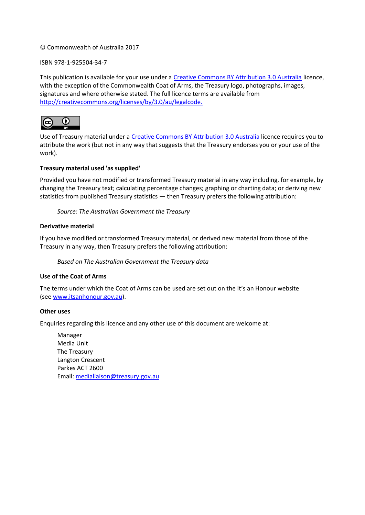#### © Commonwealth of Australia 2017

#### ISBN 978-1-925504-34-7

This publication is available for your use under a [Creative Commons BY Attribution 3.0 Australia](http://creativecommons.org/licenses/by/3.0/au/deed.en) licence, with the exception of the Commonwealth Coat of Arms, the Treasury logo, photographs, images, signatures and where otherwise stated. The full licence terms are available from [http://creativecommons.org/licenses/by/3.0/au/legalcode.](http://creativecommons.org/licenses/by/3.0/au/legalcode)



Use of Treasury material under a [Creative Commons BY Attribution 3.0 Australia](http://creativecommons.org/licenses/by/3.0/au/deed.en) licence requires you to attribute the work (but not in any way that suggests that the Treasury endorses you or your use of the work).

#### **Treasury material used 'as supplied'**

Provided you have not modified or transformed Treasury material in any way including, for example, by changing the Treasury text; calculating percentage changes; graphing or charting data; or deriving new statistics from published Treasury statistics — then Treasury prefers the following attribution:

*Source: The Australian Government the Treasury*

#### **Derivative material**

If you have modified or transformed Treasury material, or derived new material from those of the Treasury in any way, then Treasury prefers the following attribution:

*Based on The Australian Government the Treasury data*

#### **Use of the Coat of Arms**

The terms under which the Coat of Arms can be used are set out on the It's an Honour website (see [www.itsanhonour.gov.au\)](http://www.itsanhonour.gov.au/).

#### **Other uses**

Enquiries regarding this licence and any other use of this document are welcome at:

Manager Media Unit The Treasury Langton Crescent Parkes ACT 2600 Email[: medialiaison@treasury.gov.au](mailto:medialiaison@treasury.gov.au)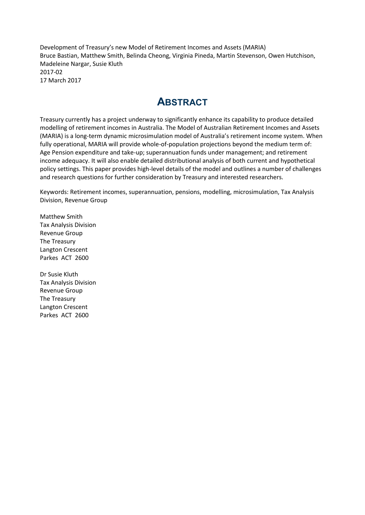Development of Treasury's new Model of Retirement Incomes and Assets (MARIA) Bruce Bastian, Matthew Smith, Belinda Cheong, Virginia Pineda, Martin Stevenson, Owen Hutchison, Madeleine Nargar, Susie Kluth 2017-02 17 March 2017

### **ABSTRACT**

Treasury currently has a project underway to significantly enhance its capability to produce detailed modelling of retirement incomes in Australia. The Model of Australian Retirement Incomes and Assets (MARIA) is a long-term dynamic microsimulation model of Australia's retirement income system. When fully operational, MARIA will provide whole-of-population projections beyond the medium term of: Age Pension expenditure and take-up; superannuation funds under management; and retirement income adequacy. It will also enable detailed distributional analysis of both current and hypothetical policy settings. This paper provides high-level details of the model and outlines a number of challenges and research questions for further consideration by Treasury and interested researchers.

Keywords: Retirement incomes, superannuation, pensions, modelling, microsimulation, Tax Analysis Division, Revenue Group

Matthew Smith Tax Analysis Division Revenue Group The Treasury Langton Crescent Parkes ACT 2600

Dr Susie Kluth Tax Analysis Division Revenue Group The Treasury Langton Crescent Parkes ACT 2600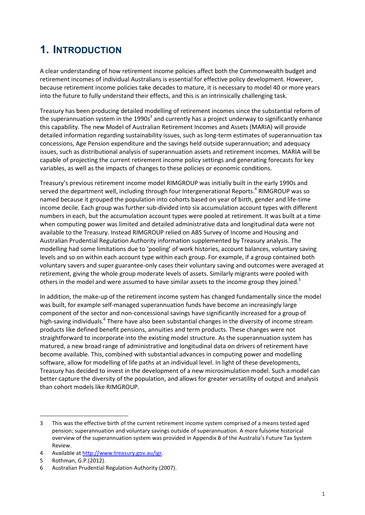# **1. INTRODUCTION**

A clear understanding of how retirement income policies affect both the Commonwealth budget and retirement incomes of individual Australians is essential for effective policy development. However, because retirement income policies take decades to mature, it is necessary to model 40 or more years into the future to fully understand their effects, and this is an intrinsically challenging task.

Treasury has been producing detailed modelling of retirement incomes since the substantial reform of the superannuation system in the 1990s<sup>3</sup> and currently has a project underway to significantly enhance this capability. The new Model of Australian Retirement Incomes and Assets (MARIA) will provide detailed information regarding sustainability issues, such as long-term estimates of superannuation tax concessions, Age Pension expenditure and the savings held outside superannuation; and adequacy issues, such as distributional analysis of superannuation assets and retirement incomes. MARIA will be capable of projecting the current retirement income policy settings and generating forecasts for key variables, as well as the impacts of changes to these policies or economic conditions.

Treasury's previous retirement income model RIMGROUP was initially built in the early 1990s and served the department well, including through four Intergenerational Reports.<sup>4</sup> RIMGROUP was so named because it grouped the population into cohorts based on year of birth, gender and life-time income decile. Each group was further sub-divided into six accumulation account types with different numbers in each, but the accumulation account types were pooled at retirement. It was built at a time when computing power was limited and detailed administrative data and longitudinal data were not available to the Treasury. Instead RIMGROUP relied on ABS Survey of Income and Housing and Australian Prudential Regulation Authority information supplemented by Treasury analysis. The modelling had some limitations due to 'pooling' of work histories, account balances, voluntary saving levels and so on within each account type within each group. For example, if a group contained both voluntary savers and super guarantee-only cases their voluntary saving and outcomes were averaged at retirement, giving the whole group moderate levels of assets. Similarly migrants were pooled with others in the model and were assumed to have similar assets to the income group they joined.<sup>5</sup>

In addition, the make-up of the retirement income system has changed fundamentally since the model was built, for example self-managed superannuation funds have become an increasingly large component of the sector and non-concessional savings have significantly increased for a group of high-saving individuals.<sup>6</sup> There have also been substantial changes in the diversity of income stream products like defined benefit pensions, annuities and term products. These changes were not straightforward to incorporate into the existing model structure. As the superannuation system has matured, a new broad range of administrative and longitudinal data on drivers of retirement have become available. This, combined with substantial advances in computing power and modelling software, allow for modelling of life paths at an individual level. In light of these developments, Treasury has decided to invest in the development of a new microsimulation model. Such a model can better capture the diversity of the population, and allows for greater versatility of output and analysis than cohort models like RIMGROUP.

 $\ddot{\phantom{a}}$ 

<sup>3</sup> This was the effective birth of the current retirement income system comprised of a means tested aged pension; superannuation and voluntary savings outside of superannuation. A more fulsome historical overview of the superannuation system was provided in Appendix B of the Australia's Future Tax System Review.

<sup>4</sup> Available a[t http://www.treasury.gov.au/igr.](http://www.treasury.gov.au/igr)

<sup>5</sup> Rothman, G.P.(2012).

<sup>6</sup> Australian Prudential Regulation Authority (2007).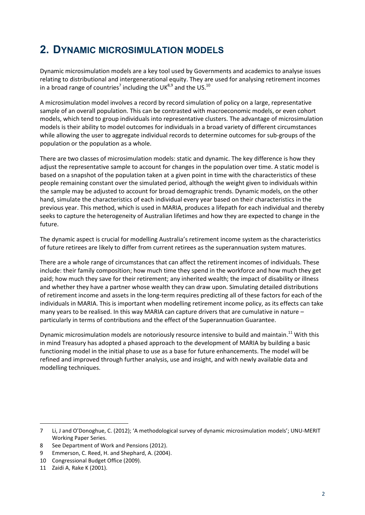### **2. DYNAMIC MICROSIMULATION MODELS**

Dynamic microsimulation models are a key tool used by Governments and academics to analyse issues relating to distributional and intergenerational equity. They are used for analysing retirement incomes in a broad range of countries<sup>7</sup> including the UK<sup>8,9</sup> and the US.<sup>10</sup>

A microsimulation model involves a record by record simulation of policy on a large, representative sample of an overall population. This can be contrasted with macroeconomic models, or even cohort models, which tend to group individuals into representative clusters. The advantage of microsimulation models is their ability to model outcomes for individuals in a broad variety of different circumstances while allowing the user to aggregate individual records to determine outcomes for sub-groups of the population or the population as a whole.

There are two classes of microsimulation models: static and dynamic. The key difference is how they adjust the representative sample to account for changes in the population over time. A static model is based on a snapshot of the population taken at a given point in time with the characteristics of these people remaining constant over the simulated period, although the weight given to individuals within the sample may be adjusted to account for broad demographic trends. Dynamic models, on the other hand, simulate the characteristics of each individual every year based on their characteristics in the previous year. This method, which is used in MARIA, produces a lifepath for each individual and thereby seeks to capture the heterogeneity of Australian lifetimes and how they are expected to change in the future.

The dynamic aspect is crucial for modelling Australia's retirement income system as the characteristics of future retirees are likely to differ from current retirees as the superannuation system matures.

There are a whole range of circumstances that can affect the retirement incomes of individuals. These include: their family composition; how much time they spend in the workforce and how much they get paid; how much they save for their retirement; any inherited wealth; the impact of disability or illness and whether they have a partner whose wealth they can draw upon. Simulating detailed distributions of retirement income and assets in the long-term requires predicting all of these factors for each of the individuals in MARIA. This is important when modelling retirement income policy, as its effects can take many years to be realised. In this way MARIA can capture drivers that are cumulative in nature – particularly in terms of contributions and the effect of the Superannuation Guarantee.

Dynamic microsimulation models are notoriously resource intensive to build and maintain.<sup>11</sup> With this in mind Treasury has adopted a phased approach to the development of MARIA by building a basic functioning model in the initial phase to use as a base for future enhancements. The model will be refined and improved through further analysis, use and insight, and with newly available data and modelling techniques.

 $\overline{a}$ 

<sup>7</sup> Li, J and O'Donoghue, C. (2012); 'A methodological survey of dynamic microsimulation models'; UNU-MERIT Working Paper Series.

<sup>8</sup> See Department of Work and Pensions (2012).

<sup>9</sup> Emmerson, C. Reed, H. and Shephard, A. (2004).

<sup>10</sup> Congressional Budget Office (2009).

<sup>11</sup> Zaidi A, Rake K (2001).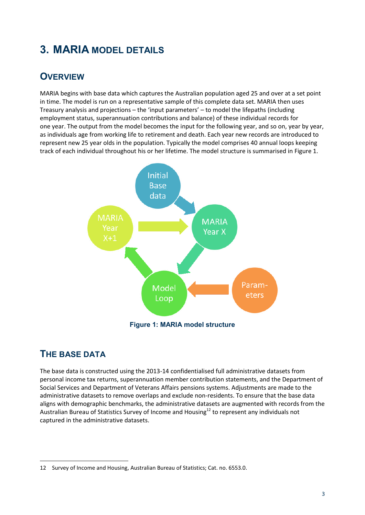# **3. MARIA MODEL DETAILS**

### **OVERVIEW**

MARIA begins with base data which captures the Australian population aged 25 and over at a set point in time. The model is run on a representative sample of this complete data set. MARIA then uses Treasury analysis and projections – the 'input parameters' – to model the lifepaths (including employment status, superannuation contributions and balance) of these individual records for one year. The output from the model becomes the input for the following year, and so on, year by year, as individuals age from working life to retirement and death. Each year new records are introduced to represent new 25 year olds in the population. Typically the model comprises 40 annual loops keeping track of each individual throughout his or her lifetime. The model structure is summarised in [Figure 1.](#page-6-0)



#### <span id="page-6-0"></span>**THE BASE DATA**

 $\overline{a}$ 

The base data is constructed using the 2013-14 confidentialised full administrative datasets from personal income tax returns, superannuation member contribution statements, and the Department of Social Services and Department of Veterans Affairs pensions systems. Adjustments are made to the administrative datasets to remove overlaps and exclude non-residents. To ensure that the base data aligns with demographic benchmarks, the administrative datasets are augmented with records from the Australian Bureau of Statistics Survey of Income and Housing<sup>12</sup> to represent any individuals not captured in the administrative datasets.

<sup>12</sup> Survey of Income and Housing, Australian Bureau of Statistics; Cat. no. 6553.0.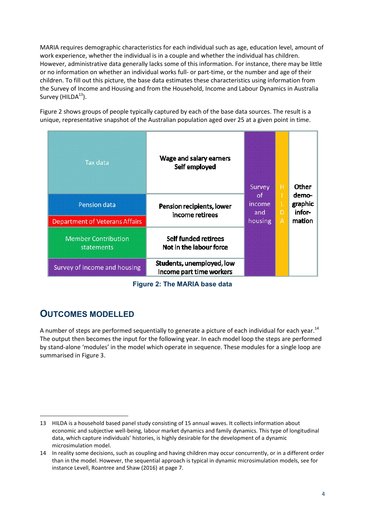MARIA requires demographic characteristics for each individual such as age, education level, amount of work experience, whether the individual is in a couple and whether the individual has children. However, administrative data generally lacks some of this information. For instance, there may be little or no information on whether an individual works full- or part-time, or the number and age of their children. To fill out this picture, the base data estimates these characteristics using information from the Survey of Income and Housing and from the Household, Income and Labour Dynamics in Australia Survey ( $HILDA<sup>13</sup>$ ).

[Figure 2](#page-7-0) shows groups of people typically captured by each of the base data sources. The result is a unique, representative snapshot of the Australian population aged over 25 at a given point in time.

| Tax data                                 | Wage and salary earners<br>Self employed              | Survey<br>of.<br>income<br>and | н<br>D | <b>Other</b><br>demo-<br>graphic<br>infor- |
|------------------------------------------|-------------------------------------------------------|--------------------------------|--------|--------------------------------------------|
| Pension data                             | Pension recipients, lower<br>income retirees          |                                |        |                                            |
| <b>Department of Veterans Affairs</b>    |                                                       | housing                        | A      | mation                                     |
| <b>Member Contribution</b><br>statements | Self funded retirees<br>Not in the labour force       |                                |        |                                            |
| Survey of income and housing             | Students, unemployed, low<br>income part time workers |                                |        |                                            |

**Figure 2: The MARIA base data**

### <span id="page-7-0"></span>**OUTCOMES MODELLED**

 $\ddot{\phantom{a}}$ 

A number of steps are performed sequentially to generate a picture of each individual for each year.<sup>14</sup> The output then becomes the input for the following year. In each model loop the steps are performed by stand-alone 'modules' in the model which operate in sequence. These modules for a single loop are summarised in [Figure 3.](#page-8-0)

<sup>13</sup> HILDA is a household based panel study consisting of 15 annual waves. It collects information about economic and subjective well-being, labour market dynamics and family dynamics. This type of longitudinal data, which capture individuals' histories, is highly desirable for the development of a dynamic microsimulation model.

<sup>14</sup> In reality some decisions, such as coupling and having children may occur concurrently, or in a different order than in the model. However, the sequential approach is typical in dynamic microsimulation models, see for instance Levell, Roantree and Shaw (2016) at page 7.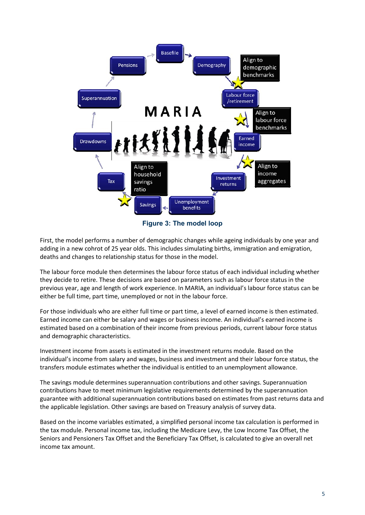

**Figure 3: The model loop**

<span id="page-8-0"></span>First, the model performs a number of demographic changes while ageing individuals by one year and adding in a new cohrot of 25 year olds. This includes simulating births, immigration and emigration, deaths and changes to relationship status for those in the model.

The labour force module then determines the labour force status of each individual including whether they decide to retire. These decisions are based on parameters such as labour force status in the previous year, age and length of work experience. In MARIA, an individual's labour force status can be either be full time, part time, unemployed or not in the labour force.

For those individuals who are either full time or part time, a level of earned income is then estimated. Earned income can either be salary and wages or business income. An individual's earned income is estimated based on a combination of their income from previous periods, current labour force status and demographic characteristics.

Investment income from assets is estimated in the investment returns module. Based on the individual's income from salary and wages, business and investment and their labour force status, the transfers module estimates whether the individual is entitled to an unemployment allowance.

The savings module determines superannuation contributions and other savings. Superannuation contributions have to meet minimum legislative requirements determined by the superannuation guarantee with additional superannuation contributions based on estimates from past returns data and the applicable legislation. Other savings are based on Treasury analysis of survey data.

Based on the income variables estimated, a simplified personal income tax calculation is performed in the tax module. Personal income tax, including the Medicare Levy, the Low Income Tax Offset, the Seniors and Pensioners Tax Offset and the Beneficiary Tax Offset, is calculated to give an overall net income tax amount.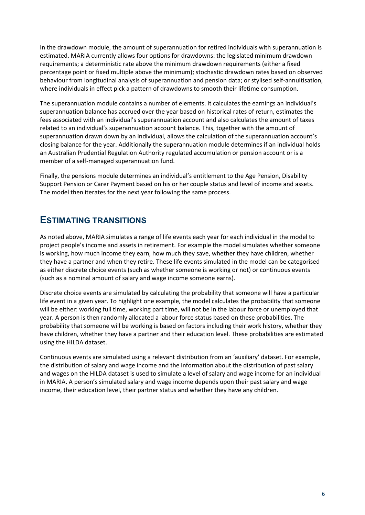In the drawdown module, the amount of superannuation for retired individuals with superannuation is estimated. MARIA currently allows four options for drawdowns: the legislated minimum drawdown requirements; a deterministic rate above the minimum drawdown requirements (either a fixed percentage point or fixed multiple above the minimum); stochastic drawdown rates based on observed behaviour from longitudinal analysis of superannuation and pension data; or stylised self-annuitisation, where individuals in effect pick a pattern of drawdowns to smooth their lifetime consumption.

The superannuation module contains a number of elements. It calculates the earnings an individual's superannuation balance has accrued over the year based on historical rates of return, estimates the fees associated with an individual's superannuation account and also calculates the amount of taxes related to an individual's superannuation account balance. This, together with the amount of superannuation drawn down by an individual, allows the calculation of the superannuation account's closing balance for the year. Additionally the superannuation module determines if an individual holds an Australian Prudential Regulation Authority regulated accumulation or pension account or is a member of a self-managed superannuation fund.

Finally, the pensions module determines an individual's entitlement to the Age Pension, Disability Support Pension or Carer Payment based on his or her couple status and level of income and assets. The model then iterates for the next year following the same process.

#### **ESTIMATING TRANSITIONS**

As noted above, MARIA simulates a range of life events each year for each individual in the model to project people's income and assets in retirement. For example the model simulates whether someone is working, how much income they earn, how much they save, whether they have children, whether they have a partner and when they retire. These life events simulated in the model can be categorised as either discrete choice events (such as whether someone is working or not) or continuous events (such as a nominal amount of salary and wage income someone earns).

Discrete choice events are simulated by calculating the probability that someone will have a particular life event in a given year. To highlight one example, the model calculates the probability that someone will be either: working full time, working part time, will not be in the labour force or unemployed that year. A person is then randomly allocated a labour force status based on these probabilities. The probability that someone will be working is based on factors including their work history, whether they have children, whether they have a partner and their education level. These probabilities are estimated using the HILDA dataset.

Continuous events are simulated using a relevant distribution from an 'auxiliary' dataset. For example, the distribution of salary and wage income and the information about the distribution of past salary and wages on the HILDA dataset is used to simulate a level of salary and wage income for an individual in MARIA. A person's simulated salary and wage income depends upon their past salary and wage income, their education level, their partner status and whether they have any children.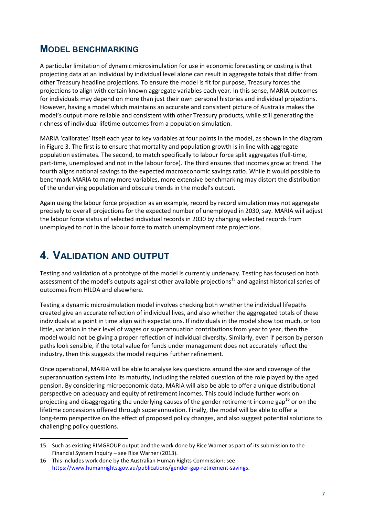#### **MODEL BENCHMARKING**

A particular limitation of dynamic microsimulation for use in economic forecasting or costing is that projecting data at an individual by individual level alone can result in aggregate totals that differ from other Treasury headline projections. To ensure the model is fit for purpose, Treasury forces the projections to align with certain known aggregate variables each year. In this sense, MARIA outcomes for individuals may depend on more than just their own personal histories and individual projections. However, having a model which maintains an accurate and consistent picture of Australia makes the model's output more reliable and consistent with other Treasury products, while still generating the richness of individual lifetime outcomes from a population simulation.

MARIA 'calibrates' itself each year to key variables at four points in the model, as shown in the diagram in Figure 3. The first is to ensure that mortality and population growth is in line with aggregate population estimates. The second, to match specifically to labour force split aggregates (full-time, part-time, unemployed and not in the labour force). The third ensures that incomes grow at trend. The fourth aligns national savings to the expected macroeconomic savings ratio. While it would possible to benchmark MARIA to many more variables, more extensive benchmarking may distort the distribution of the underlying population and obscure trends in the model's output.

Again using the labour force projection as an example, record by record simulation may not aggregate precisely to overall projections for the expected number of unemployed in 2030, say. MARIA will adjust the labour force status of selected individual records in 2030 by changing selected records from unemployed to not in the labour force to match unemployment rate projections.

### **4. VALIDATION AND OUTPUT**

 $\overline{a}$ 

Testing and validation of a prototype of the model is currently underway. Testing has focused on both assessment of the model's outputs against other available projections<sup>15</sup> and against historical series of outcomes from HILDA and elsewhere.

Testing a dynamic microsimulation model involves checking both whether the individual lifepaths created give an accurate reflection of individual lives, and also whether the aggregated totals of these individuals at a point in time align with expectations. If individuals in the model show too much, or too little, variation in their level of wages or superannuation contributions from year to year, then the model would not be giving a proper reflection of individual diversity. Similarly, even if person by person paths look sensible, if the total value for funds under management does not accurately reflect the industry, then this suggests the model requires further refinement.

Once operational, MARIA will be able to analyse key questions around the size and coverage of the superannuation system into its maturity, including the related question of the role played by the aged pension. By considering microeconomic data, MARIA will also be able to offer a unique distributional perspective on adequacy and equity of retirement incomes. This could include further work on projecting and disaggregating the underlying causes of the gender retirement income gap<sup>16</sup> or on the lifetime concessions offered through superannuation. Finally, the model will be able to offer a long-term perspective on the effect of proposed policy changes, and also suggest potential solutions to challenging policy questions.

<sup>15</sup> Such as existing RIMGROUP output and the work done by Rice Warner as part of its submission to the Financial System Inquiry – see Rice Warner (2013).

<sup>16</sup> This includes work done by the Australian Human Rights Commission: see [https://www.humanrights.gov.au/publications/gender-gap-retirement-savings.](https://www.humanrights.gov.au/publications/gender-gap-retirement-savings)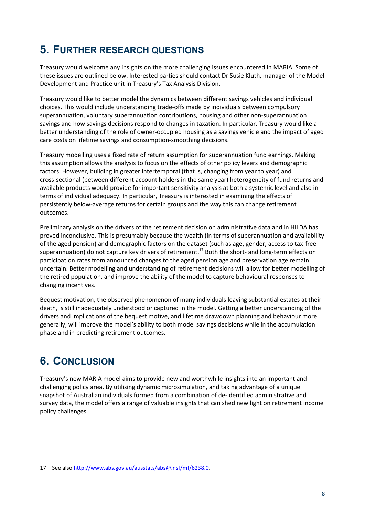# **5. FURTHER RESEARCH QUESTIONS**

Treasury would welcome any insights on the more challenging issues encountered in MARIA. Some of these issues are outlined below. Interested parties should contact Dr Susie Kluth, manager of the Model Development and Practice unit in Treasury's Tax Analysis Division.

Treasury would like to better model the dynamics between different savings vehicles and individual choices. This would include understanding trade-offs made by individuals between compulsory superannuation, voluntary superannuation contributions, housing and other non-superannuation savings and how savings decisions respond to changes in taxation. In particular, Treasury would like a better understanding of the role of owner-occupied housing as a savings vehicle and the impact of aged care costs on lifetime savings and consumption-smoothing decisions.

Treasury modelling uses a fixed rate of return assumption for superannuation fund earnings. Making this assumption allows the analysis to focus on the effects of other policy levers and demographic factors. However, building in greater intertemporal (that is, changing from year to year) and cross-sectional (between different account holders in the same year) heterogeneity of fund returns and available products would provide for important sensitivity analysis at both a systemic level and also in terms of individual adequacy. In particular, Treasury is interested in examining the effects of persistently below-average returns for certain groups and the way this can change retirement outcomes.

Preliminary analysis on the drivers of the retirement decision on administrative data and in HILDA has proved inconclusive. This is presumably because the wealth (in terms of superannuation and availability of the aged pension) and demographic factors on the dataset (such as age, gender, access to tax-free superannuation) do not capture key drivers of retirement.<sup>17</sup> Both the short- and long-term effects on participation rates from announced changes to the aged pension age and preservation age remain uncertain. Better modelling and understanding of retirement decisions will allow for better modelling of the retired population, and improve the ability of the model to capture behavioural responses to changing incentives.

Bequest motivation, the observed phenomenon of many individuals leaving substantial estates at their death, is still inadequately understood or captured in the model. Getting a better understanding of the drivers and implications of the bequest motive, and lifetime drawdown planning and behaviour more generally, will improve the model's ability to both model savings decisions while in the accumulation phase and in predicting retirement outcomes.

# **6. CONCLUSION**

 $\overline{a}$ 

Treasury's new MARIA model aims to provide new and worthwhile insights into an important and challenging policy area. By utilising dynamic microsimulation, and taking advantage of a unique snapshot of Australian individuals formed from a combination of de-identified administrative and survey data, the model offers a range of valuable insights that can shed new light on retirement income policy challenges.

<sup>17</sup> See also [http://www.abs.gov.au/ausstats/abs@.nsf/mf/6238.0.](http://www.abs.gov.au/ausstats/abs@.nsf/mf/6238.0)